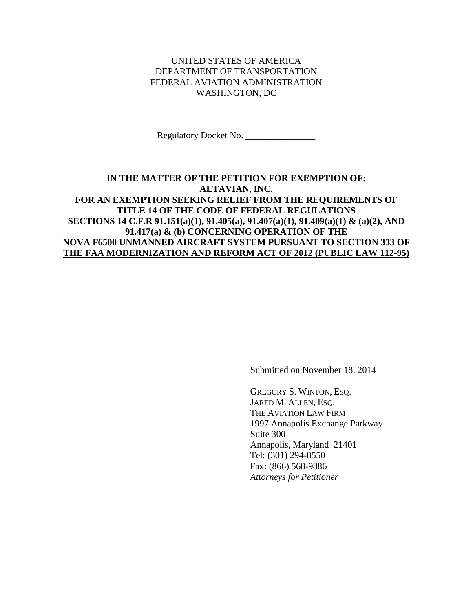## UNITED STATES OF AMERICA DEPARTMENT OF TRANSPORTATION FEDERAL AVIATION ADMINISTRATION WASHINGTON, DC

Regulatory Docket No. \_\_\_\_\_\_\_\_\_\_\_\_\_\_\_

## **IN THE MATTER OF THE PETITION FOR EXEMPTION OF: ALTAVIAN, INC. FOR AN EXEMPTION SEEKING RELIEF FROM THE REQUIREMENTS OF TITLE 14 OF THE CODE OF FEDERAL REGULATIONS SECTIONS 14 C.F.R 91.151(a)(1), 91.405(a), 91.407(a)(1), 91.409(a)(1) & (a)(2), AND 91.417(a) & (b) CONCERNING OPERATION OF THE NOVA F6500 UNMANNED AIRCRAFT SYSTEM PURSUANT TO SECTION 333 OF THE FAA MODERNIZATION AND REFORM ACT OF 2012 (PUBLIC LAW 112-95)**

Submitted on November 18, 2014

GREGORY S. WINTON, ESQ. JARED M. ALLEN, ESO. THE AVIATION LAW FIRM 1997 Annapolis Exchange Parkway Suite 300 Annapolis, Maryland 21401 Tel: (301) 294-8550 Fax: (866) 568-9886 *Attorneys for Petitioner*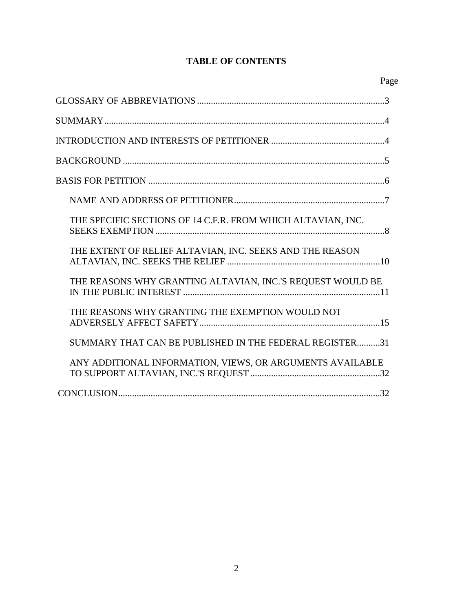# **TABLE OF CONTENTS**

| THE SPECIFIC SECTIONS OF 14 C.F.R. FROM WHICH ALTAVIAN, INC. |
|--------------------------------------------------------------|
| THE EXTENT OF RELIEF ALTAVIAN, INC. SEEKS AND THE REASON     |
| THE REASONS WHY GRANTING ALTAVIAN, INC.'S REQUEST WOULD BE   |
| THE REASONS WHY GRANTING THE EXEMPTION WOULD NOT             |
| SUMMARY THAT CAN BE PUBLISHED IN THE FEDERAL REGISTER31      |
| ANY ADDITIONAL INFORMATION, VIEWS, OR ARGUMENTS AVAILABLE    |
|                                                              |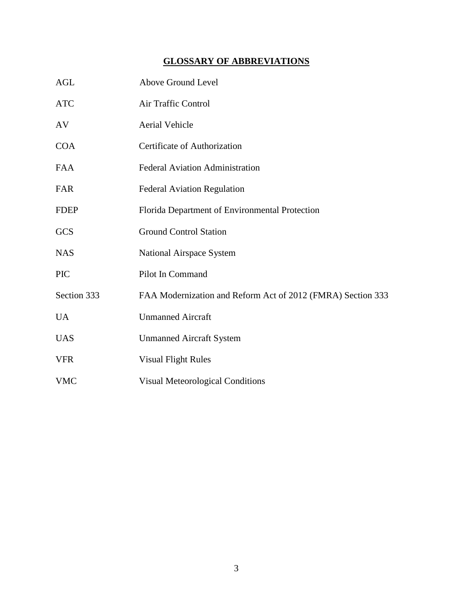# **GLOSSARY OF ABBREVIATIONS**

| <b>AGL</b>  | Above Ground Level                                          |
|-------------|-------------------------------------------------------------|
| <b>ATC</b>  | Air Traffic Control                                         |
| AV          | Aerial Vehicle                                              |
| <b>COA</b>  | Certificate of Authorization                                |
| <b>FAA</b>  | <b>Federal Aviation Administration</b>                      |
| <b>FAR</b>  | <b>Federal Aviation Regulation</b>                          |
| <b>FDEP</b> | Florida Department of Environmental Protection              |
| <b>GCS</b>  | <b>Ground Control Station</b>                               |
| <b>NAS</b>  | National Airspace System                                    |
| <b>PIC</b>  | Pilot In Command                                            |
| Section 333 | FAA Modernization and Reform Act of 2012 (FMRA) Section 333 |
| <b>UA</b>   | <b>Unmanned Aircraft</b>                                    |
| <b>UAS</b>  | <b>Unmanned Aircraft System</b>                             |
| <b>VFR</b>  | <b>Visual Flight Rules</b>                                  |
| <b>VMC</b>  | <b>Visual Meteorological Conditions</b>                     |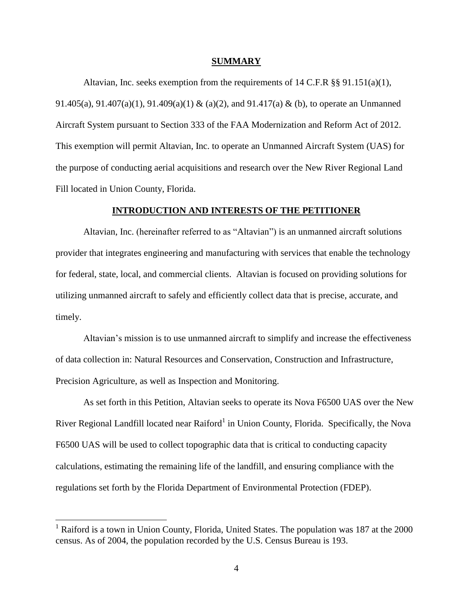#### **SUMMARY**

Altavian, Inc. seeks exemption from the requirements of 14 C.F.R §§ 91.151(a)(1), 91.405(a), 91.407(a)(1), 91.409(a)(1) & (a)(2), and 91.417(a) & (b), to operate an Unmanned Aircraft System pursuant to Section 333 of the FAA Modernization and Reform Act of 2012. This exemption will permit Altavian, Inc. to operate an Unmanned Aircraft System (UAS) for the purpose of conducting aerial acquisitions and research over the New River Regional Land Fill located in Union County, Florida.

#### **INTRODUCTION AND INTERESTS OF THE PETITIONER**

Altavian, Inc. (hereinafter referred to as "Altavian") is an unmanned aircraft solutions provider that integrates engineering and manufacturing with services that enable the technology for federal, state, local, and commercial clients. Altavian is focused on providing solutions for utilizing unmanned aircraft to safely and efficiently collect data that is precise, accurate, and timely.

Altavian's mission is to use unmanned aircraft to simplify and increase the effectiveness of data collection in: Natural Resources and Conservation, Construction and Infrastructure, Precision Agriculture, as well as Inspection and Monitoring.

As set forth in this Petition, Altavian seeks to operate its Nova F6500 UAS over the New River Regional Landfill located near Raiford<sup>1</sup> in Union County, Florida. Specifically, the Nova F6500 UAS will be used to collect topographic data that is critical to conducting capacity calculations, estimating the remaining life of the landfill, and ensuring compliance with the regulations set forth by the Florida Department of Environmental Protection (FDEP).

 $\overline{a}$ 

<sup>&</sup>lt;sup>1</sup> Raiford is a town in [Union County,](http://en.wikipedia.org/wiki/Union_County,_Florida) [Florida,](http://en.wikipedia.org/wiki/Florida) [United States.](http://en.wikipedia.org/wiki/United_States) The population was 187 at the 2000 census. As of 2004, the population recorded by the [U.S. Census Bureau](http://en.wikipedia.org/wiki/U.S._Census_Bureau) is 193.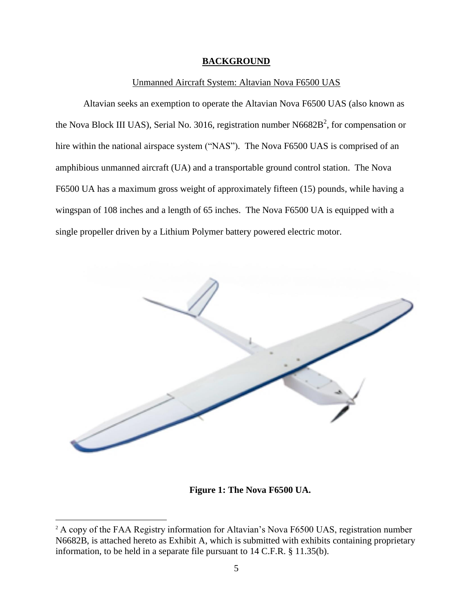#### **BACKGROUND**

#### Unmanned Aircraft System: Altavian Nova F6500 UAS

Altavian seeks an exemption to operate the Altavian Nova F6500 UAS (also known as the Nova Block III UAS), Serial No. 3016, registration number  $N6682B^2$ , for compensation or hire within the national airspace system ("NAS"). The Nova F6500 UAS is comprised of an amphibious unmanned aircraft (UA) and a transportable ground control station. The Nova F6500 UA has a maximum gross weight of approximately fifteen (15) pounds, while having a wingspan of 108 inches and a length of 65 inches. The Nova F6500 UA is equipped with a single propeller driven by a Lithium Polymer battery powered electric motor.



**Figure 1: The Nova F6500 UA.**

 $\overline{a}$ 

<sup>&</sup>lt;sup>2</sup> A copy of the FAA Registry information for Altavian's Nova F6500 UAS, registration number N6682B, is attached hereto as Exhibit A, which is submitted with exhibits containing proprietary information, to be held in a separate file pursuant to 14 C.F.R. § 11.35(b).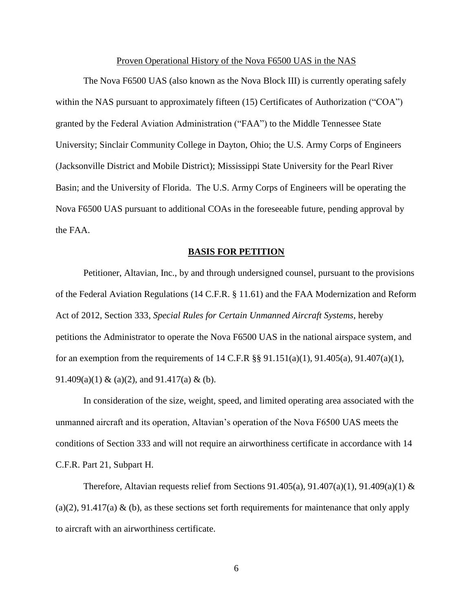#### Proven Operational History of the Nova F6500 UAS in the NAS

The Nova F6500 UAS (also known as the Nova Block III) is currently operating safely within the NAS pursuant to approximately fifteen (15) Certificates of Authorization ("COA") granted by the Federal Aviation Administration ("FAA") to the Middle Tennessee State University; Sinclair Community College in Dayton, Ohio; the U.S. Army Corps of Engineers (Jacksonville District and Mobile District); Mississippi State University for the Pearl River Basin; and the University of Florida. The U.S. Army Corps of Engineers will be operating the Nova F6500 UAS pursuant to additional COAs in the foreseeable future, pending approval by the FAA.

#### **BASIS FOR PETITION**

Petitioner, Altavian, Inc., by and through undersigned counsel, pursuant to the provisions of the Federal Aviation Regulations (14 C.F.R. § 11.61) and the FAA Modernization and Reform Act of 2012, Section 333, *Special Rules for Certain Unmanned Aircraft Systems*, hereby petitions the Administrator to operate the Nova F6500 UAS in the national airspace system, and for an exemption from the requirements of 14 C.F.R  $\S$ § 91.151(a)(1), 91.405(a), 91.407(a)(1), 91.409(a)(1) & (a)(2), and 91.417(a) & (b).

In consideration of the size, weight, speed, and limited operating area associated with the unmanned aircraft and its operation, Altavian's operation of the Nova F6500 UAS meets the conditions of Section 333 and will not require an airworthiness certificate in accordance with 14 C.F.R. Part 21, Subpart H.

Therefore, Altavian requests relief from Sections 91.405(a), 91.407(a)(1), 91.409(a)(1)  $\&$ (a)(2), 91.417(a) & (b), as these sections set forth requirements for maintenance that only apply to aircraft with an airworthiness certificate.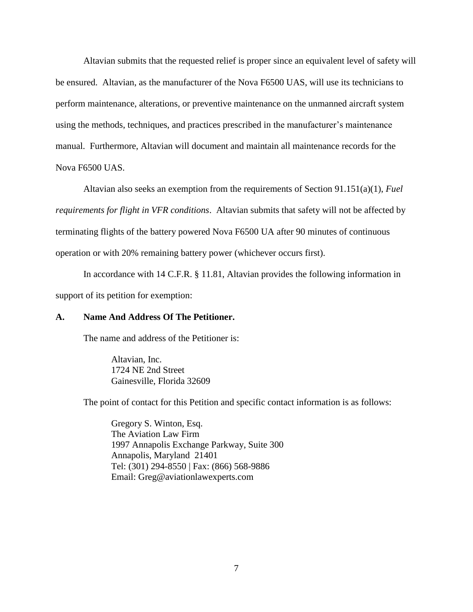Altavian submits that the requested relief is proper since an equivalent level of safety will be ensured. Altavian, as the manufacturer of the Nova F6500 UAS, will use its technicians to perform maintenance, alterations, or preventive maintenance on the unmanned aircraft system using the methods, techniques, and practices prescribed in the manufacturer's maintenance manual. Furthermore, Altavian will document and maintain all maintenance records for the Nova F6500 UAS.

Altavian also seeks an exemption from the requirements of Section 91.151(a)(1), *Fuel requirements for flight in VFR conditions*. Altavian submits that safety will not be affected by terminating flights of the battery powered Nova F6500 UA after 90 minutes of continuous operation or with 20% remaining battery power (whichever occurs first).

In accordance with 14 C.F.R. § 11.81, Altavian provides the following information in support of its petition for exemption:

#### **A. Name And Address Of The Petitioner.**

The name and address of the Petitioner is:

Altavian, Inc. 1724 NE 2nd Street Gainesville, Florida 32609

The point of contact for this Petition and specific contact information is as follows:

Gregory S. Winton, Esq. The Aviation Law Firm 1997 Annapolis Exchange Parkway, Suite 300 Annapolis, Maryland 21401 Tel: (301) 294-8550 | Fax: (866) 568-9886 Email: Greg@aviationlawexperts.com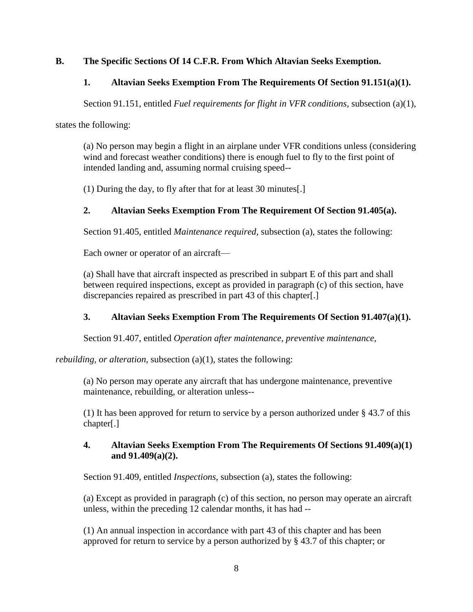## **B. The Specific Sections Of 14 C.F.R. From Which Altavian Seeks Exemption.**

## **1. Altavian Seeks Exemption From The Requirements Of Section 91.151(a)(1).**

Section 91.151, entitled *Fuel requirements for flight in VFR conditions*, subsection (a)(1),

states the following:

(a) No person may begin a flight in an airplane under VFR conditions unless (considering wind and forecast weather conditions) there is enough fuel to fly to the first point of intended landing and, assuming normal cruising speed--

(1) During the day, to fly after that for at least 30 minutes[.]

# **2. Altavian Seeks Exemption From The Requirement Of Section 91.405(a).**

Section 91.405, entitled *Maintenance required*, subsection (a), states the following:

Each owner or operator of an aircraft—

(a) Shall have that aircraft inspected as prescribed in subpart E of this part and shall between required inspections, except as provided in paragraph (c) of this section, have discrepancies repaired as prescribed in part 43 of this chapter[.]

## **3. Altavian Seeks Exemption From The Requirements Of Section 91.407(a)(1).**

Section 91.407, entitled *Operation after maintenance, preventive maintenance,* 

*rebuilding, or alteration, subsection (a)(1), states the following:* 

(a) No person may operate any aircraft that has undergone maintenance, preventive maintenance, rebuilding, or alteration unless--

(1) It has been approved for return to service by a person authorized under § 43.7 of this chapter[.]

## **4. Altavian Seeks Exemption From The Requirements Of Sections 91.409(a)(1) and 91.409(a)(2).**

Section 91.409, entitled *Inspections*, subsection (a), states the following:

(a) Except as provided in paragraph (c) of this section, no person may operate an aircraft unless, within the preceding 12 calendar months, it has had --

(1) An annual inspection in accordance with part 43 of this chapter and has been approved for return to service by a person authorized by § 43.7 of this chapter; or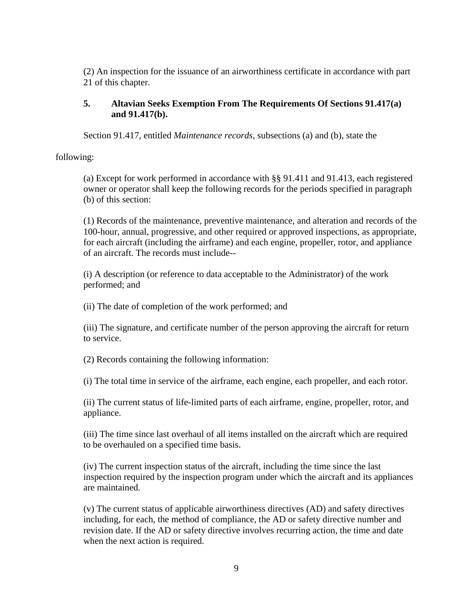(2) An inspection for the issuance of an airworthiness certificate in accordance with part 21 of this chapter.

### **5. Altavian Seeks Exemption From The Requirements Of Sections 91.417(a) and 91.417(b).**

Section 91.417, entitled *Maintenance records*, subsections (a) and (b), state the

following:

(a) Except for work performed in accordance with §§ 91.411 and 91.413, each registered owner or operator shall keep the following records for the periods specified in paragraph (b) of this section:

(1) Records of the maintenance, preventive maintenance, and alteration and records of the 100-hour, annual, progressive, and other required or approved inspections, as appropriate, for each aircraft (including the airframe) and each engine, propeller, rotor, and appliance of an aircraft. The records must include--

(i) A description (or reference to data acceptable to the Administrator) of the work performed; and

(ii) The date of completion of the work performed; and

(iii) The signature, and certificate number of the person approving the aircraft for return to service.

(2) Records containing the following information:

(i) The total time in service of the airframe, each engine, each propeller, and each rotor.

(ii) The current status of life-limited parts of each airframe, engine, propeller, rotor, and appliance.

(iii) The time since last overhaul of all items installed on the aircraft which are required to be overhauled on a specified time basis.

(iv) The current inspection status of the aircraft, including the time since the last inspection required by the inspection program under which the aircraft and its appliances are maintained.

(v) The current status of applicable airworthiness directives (AD) and safety directives including, for each, the method of compliance, the AD or safety directive number and revision date. If the AD or safety directive involves recurring action, the time and date when the next action is required.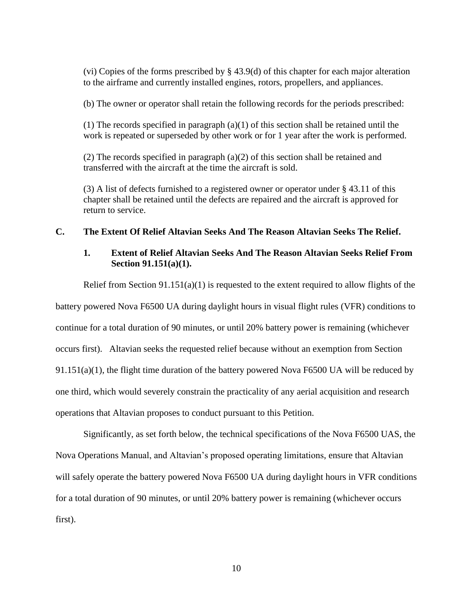(vi) Copies of the forms prescribed by § 43.9(d) of this chapter for each major alteration to the airframe and currently installed engines, rotors, propellers, and appliances.

(b) The owner or operator shall retain the following records for the periods prescribed:

 $(1)$  The records specified in paragraph  $(a)(1)$  of this section shall be retained until the work is repeated or superseded by other work or for 1 year after the work is performed.

(2) The records specified in paragraph (a)(2) of this section shall be retained and transferred with the aircraft at the time the aircraft is sold.

(3) A list of defects furnished to a registered owner or operator under § 43.11 of this chapter shall be retained until the defects are repaired and the aircraft is approved for return to service.

## **C. The Extent Of Relief Altavian Seeks And The Reason Altavian Seeks The Relief.**

## **1. Extent of Relief Altavian Seeks And The Reason Altavian Seeks Relief From Section 91.151(a)(1).**

Relief from Section  $91.151(a)(1)$  is requested to the extent required to allow flights of the

battery powered Nova F6500 UA during daylight hours in visual flight rules (VFR) conditions to continue for a total duration of 90 minutes, or until 20% battery power is remaining (whichever occurs first). Altavian seeks the requested relief because without an exemption from Section  $91.151(a)(1)$ , the flight time duration of the battery powered Nova F6500 UA will be reduced by one third, which would severely constrain the practicality of any aerial acquisition and research operations that Altavian proposes to conduct pursuant to this Petition.

Significantly, as set forth below, the technical specifications of the Nova F6500 UAS, the Nova Operations Manual, and Altavian's proposed operating limitations, ensure that Altavian will safely operate the battery powered Nova F6500 UA during daylight hours in VFR conditions for a total duration of 90 minutes, or until 20% battery power is remaining (whichever occurs first).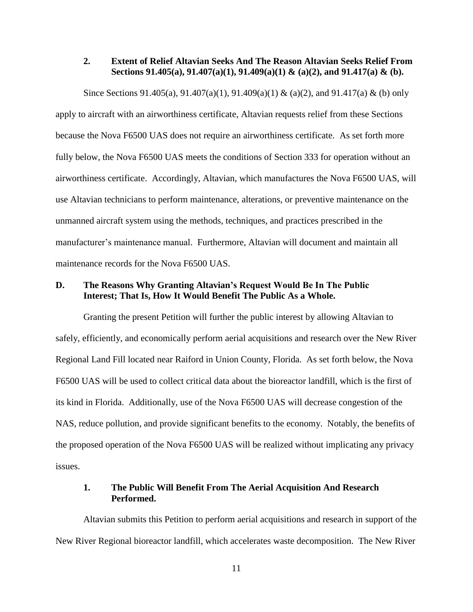#### **2. Extent of Relief Altavian Seeks And The Reason Altavian Seeks Relief From Sections 91.405(a), 91.407(a)(1), 91.409(a)(1) & (a)(2), and 91.417(a) & (b).**

Since Sections 91.405(a), 91.407(a)(1), 91.409(a)(1) & (a)(2), and 91.417(a) & (b) only apply to aircraft with an airworthiness certificate, Altavian requests relief from these Sections because the Nova F6500 UAS does not require an airworthiness certificate. As set forth more fully below, the Nova F6500 UAS meets the conditions of Section 333 for operation without an airworthiness certificate. Accordingly, Altavian, which manufactures the Nova F6500 UAS, will use Altavian technicians to perform maintenance, alterations, or preventive maintenance on the unmanned aircraft system using the methods, techniques, and practices prescribed in the manufacturer's maintenance manual. Furthermore, Altavian will document and maintain all maintenance records for the Nova F6500 UAS.

## **D. The Reasons Why Granting Altavian's Request Would Be In The Public Interest; That Is, How It Would Benefit The Public As a Whole.**

Granting the present Petition will further the public interest by allowing Altavian to safely, efficiently, and economically perform aerial acquisitions and research over the New River Regional Land Fill located near Raiford in Union County, Florida. As set forth below, the Nova F6500 UAS will be used to collect critical data about the bioreactor landfill, which is the first of its kind in Florida. Additionally, use of the Nova F6500 UAS will decrease congestion of the NAS, reduce pollution, and provide significant benefits to the economy. Notably, the benefits of the proposed operation of the Nova F6500 UAS will be realized without implicating any privacy issues.

#### **1. The Public Will Benefit From The Aerial Acquisition And Research Performed.**

Altavian submits this Petition to perform aerial acquisitions and research in support of the New River Regional bioreactor landfill, which accelerates waste decomposition. The New River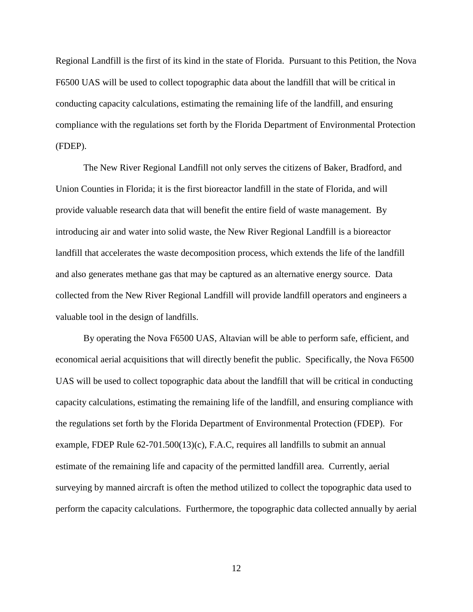Regional Landfill is the first of its kind in the state of Florida. Pursuant to this Petition, the Nova F6500 UAS will be used to collect topographic data about the landfill that will be critical in conducting capacity calculations, estimating the remaining life of the landfill, and ensuring compliance with the regulations set forth by the Florida Department of Environmental Protection (FDEP).

The New River Regional Landfill not only serves the citizens of Baker, Bradford, and Union Counties in Florida; it is the first bioreactor landfill in the state of Florida, and will provide valuable research data that will benefit the entire field of waste management. By introducing air and water into solid waste, the New River Regional Landfill is a bioreactor landfill that accelerates the waste decomposition process, which extends the life of the landfill and also generates methane gas that may be captured as an alternative energy source. Data collected from the New River Regional Landfill will provide landfill operators and engineers a valuable tool in the design of landfills.

By operating the Nova F6500 UAS, Altavian will be able to perform safe, efficient, and economical aerial acquisitions that will directly benefit the public. Specifically, the Nova F6500 UAS will be used to collect topographic data about the landfill that will be critical in conducting capacity calculations, estimating the remaining life of the landfill, and ensuring compliance with the regulations set forth by the Florida Department of Environmental Protection (FDEP). For example, FDEP Rule 62-701.500(13)(c), F.A.C, requires all landfills to submit an annual estimate of the remaining life and capacity of the permitted landfill area. Currently, aerial surveying by manned aircraft is often the method utilized to collect the topographic data used to perform the capacity calculations. Furthermore, the topographic data collected annually by aerial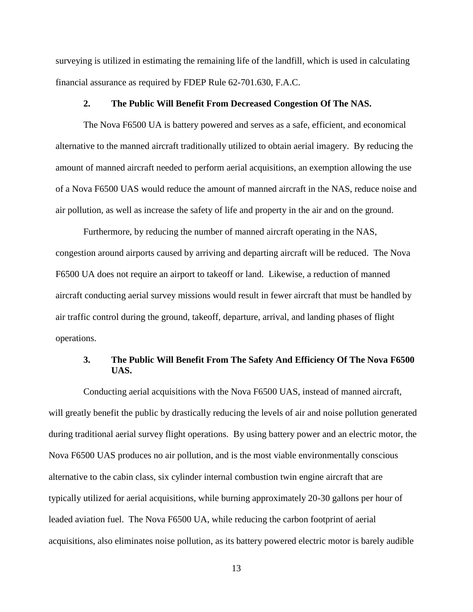surveying is utilized in estimating the remaining life of the landfill, which is used in calculating financial assurance as required by FDEP Rule 62-701.630, F.A.C.

#### **2. The Public Will Benefit From Decreased Congestion Of The NAS.**

The Nova F6500 UA is battery powered and serves as a safe, efficient, and economical alternative to the manned aircraft traditionally utilized to obtain aerial imagery. By reducing the amount of manned aircraft needed to perform aerial acquisitions, an exemption allowing the use of a Nova F6500 UAS would reduce the amount of manned aircraft in the NAS, reduce noise and air pollution, as well as increase the safety of life and property in the air and on the ground.

Furthermore, by reducing the number of manned aircraft operating in the NAS, congestion around airports caused by arriving and departing aircraft will be reduced. The Nova F6500 UA does not require an airport to takeoff or land. Likewise, a reduction of manned aircraft conducting aerial survey missions would result in fewer aircraft that must be handled by air traffic control during the ground, takeoff, departure, arrival, and landing phases of flight operations.

### **3. The Public Will Benefit From The Safety And Efficiency Of The Nova F6500 UAS.**

Conducting aerial acquisitions with the Nova F6500 UAS, instead of manned aircraft, will greatly benefit the public by drastically reducing the levels of air and noise pollution generated during traditional aerial survey flight operations. By using battery power and an electric motor, the Nova F6500 UAS produces no air pollution, and is the most viable environmentally conscious alternative to the cabin class, six cylinder internal combustion twin engine aircraft that are typically utilized for aerial acquisitions, while burning approximately 20-30 gallons per hour of leaded aviation fuel. The Nova F6500 UA, while reducing the carbon footprint of aerial acquisitions, also eliminates noise pollution, as its battery powered electric motor is barely audible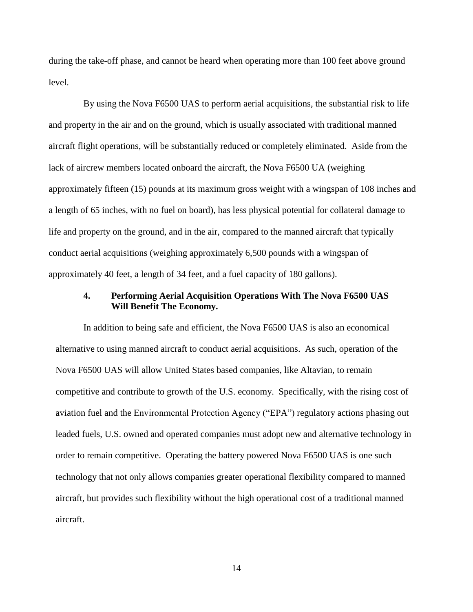during the take-off phase, and cannot be heard when operating more than 100 feet above ground level.

By using the Nova F6500 UAS to perform aerial acquisitions, the substantial risk to life and property in the air and on the ground, which is usually associated with traditional manned aircraft flight operations, will be substantially reduced or completely eliminated. Aside from the lack of aircrew members located onboard the aircraft, the Nova F6500 UA (weighing approximately fifteen (15) pounds at its maximum gross weight with a wingspan of 108 inches and a length of 65 inches, with no fuel on board), has less physical potential for collateral damage to life and property on the ground, and in the air, compared to the manned aircraft that typically conduct aerial acquisitions (weighing approximately 6,500 pounds with a wingspan of approximately 40 feet, a length of 34 feet, and a fuel capacity of 180 gallons).

#### **4. Performing Aerial Acquisition Operations With The Nova F6500 UAS Will Benefit The Economy.**

In addition to being safe and efficient, the Nova F6500 UAS is also an economical alternative to using manned aircraft to conduct aerial acquisitions. As such, operation of the Nova F6500 UAS will allow United States based companies, like Altavian, to remain competitive and contribute to growth of the U.S. economy. Specifically, with the rising cost of aviation fuel and the Environmental Protection Agency ("EPA") regulatory actions phasing out leaded fuels, U.S. owned and operated companies must adopt new and alternative technology in order to remain competitive. Operating the battery powered Nova F6500 UAS is one such technology that not only allows companies greater operational flexibility compared to manned aircraft, but provides such flexibility without the high operational cost of a traditional manned aircraft.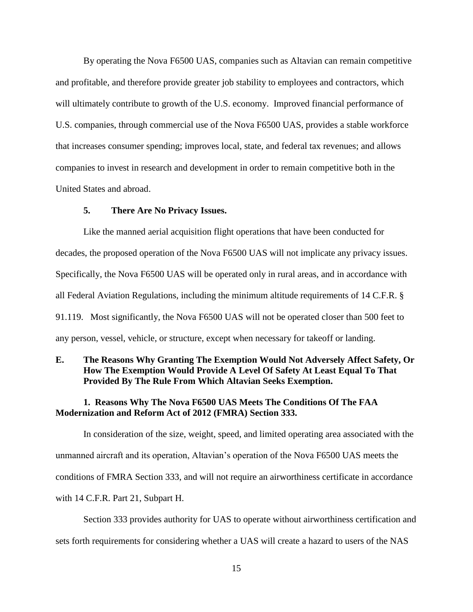By operating the Nova F6500 UAS, companies such as Altavian can remain competitive and profitable, and therefore provide greater job stability to employees and contractors, which will ultimately contribute to growth of the U.S. economy. Improved financial performance of U.S. companies, through commercial use of the Nova F6500 UAS, provides a stable workforce that increases consumer spending; improves local, state, and federal tax revenues; and allows companies to invest in research and development in order to remain competitive both in the United States and abroad.

#### **5. There Are No Privacy Issues.**

Like the manned aerial acquisition flight operations that have been conducted for decades, the proposed operation of the Nova F6500 UAS will not implicate any privacy issues. Specifically, the Nova F6500 UAS will be operated only in rural areas, and in accordance with all Federal Aviation Regulations, including the minimum altitude requirements of 14 C.F.R. § 91.119. Most significantly, the Nova F6500 UAS will not be operated closer than 500 feet to any person, vessel, vehicle, or structure, except when necessary for takeoff or landing.

### **E. The Reasons Why Granting The Exemption Would Not Adversely Affect Safety, Or How The Exemption Would Provide A Level Of Safety At Least Equal To That Provided By The Rule From Which Altavian Seeks Exemption.**

#### **1. Reasons Why The Nova F6500 UAS Meets The Conditions Of The FAA Modernization and Reform Act of 2012 (FMRA) Section 333.**

In consideration of the size, weight, speed, and limited operating area associated with the unmanned aircraft and its operation, Altavian's operation of the Nova F6500 UAS meets the conditions of FMRA Section 333, and will not require an airworthiness certificate in accordance with 14 C.F.R. Part 21, Subpart H.

Section 333 provides authority for UAS to operate without airworthiness certification and sets forth requirements for considering whether a UAS will create a hazard to users of the NAS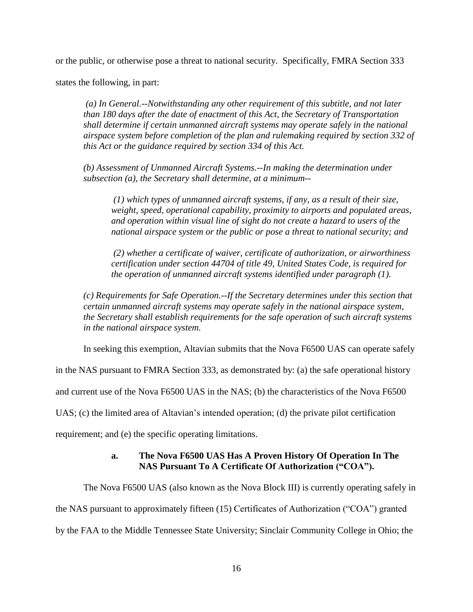or the public, or otherwise pose a threat to national security. Specifically, FMRA Section 333

states the following, in part:

*(a) In General.--Notwithstanding any other requirement of this subtitle, and not later than 180 days after the date of enactment of this Act, the Secretary of Transportation shall determine if certain unmanned aircraft systems may operate safely in the national airspace system before completion of the plan and rulemaking required by section 332 of this Act or the guidance required by section 334 of this Act.*

*(b) Assessment of Unmanned Aircraft Systems.--In making the determination under subsection (a), the Secretary shall determine, at a minimum--*

*(1) which types of unmanned aircraft systems, if any, as a result of their size, weight, speed, operational capability, proximity to airports and populated areas, and operation within visual line of sight do not create a hazard to users of the national airspace system or the public or pose a threat to national security; and*

*(2) whether a certificate of waiver, certificate of authorization, or airworthiness certification under section 44704 of title 49, United States Code, is required for the operation of unmanned aircraft systems identified under paragraph (1).*

*(c) Requirements for Safe Operation.--If the Secretary determines under this section that certain unmanned aircraft systems may operate safely in the national airspace system, the Secretary shall establish requirements for the safe operation of such aircraft systems in the national airspace system.*

In seeking this exemption, Altavian submits that the Nova F6500 UAS can operate safely

in the NAS pursuant to FMRA Section 333, as demonstrated by: (a) the safe operational history

and current use of the Nova F6500 UAS in the NAS; (b) the characteristics of the Nova F6500

UAS; (c) the limited area of Altavian's intended operation; (d) the private pilot certification

requirement; and (e) the specific operating limitations.

## **a. The Nova F6500 UAS Has A Proven History Of Operation In The NAS Pursuant To A Certificate Of Authorization ("COA").**

The Nova F6500 UAS (also known as the Nova Block III) is currently operating safely in

the NAS pursuant to approximately fifteen (15) Certificates of Authorization ("COA") granted

by the FAA to the Middle Tennessee State University; Sinclair Community College in Ohio; the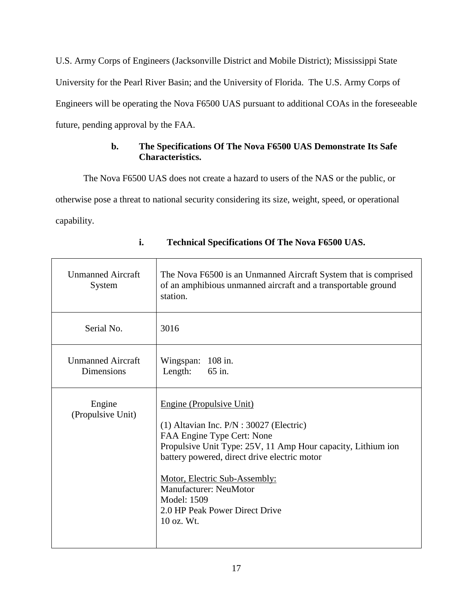U.S. Army Corps of Engineers (Jacksonville District and Mobile District); Mississippi State University for the Pearl River Basin; and the University of Florida. The U.S. Army Corps of Engineers will be operating the Nova F6500 UAS pursuant to additional COAs in the foreseeable future, pending approval by the FAA.

## **b. The Specifications Of The Nova F6500 UAS Demonstrate Its Safe Characteristics.**

The Nova F6500 UAS does not create a hazard to users of the NAS or the public, or otherwise pose a threat to national security considering its size, weight, speed, or operational capability.

| <b>Unmanned Aircraft</b><br>System            | The Nova F6500 is an Unmanned Aircraft System that is comprised<br>of an amphibious unmanned aircraft and a transportable ground<br>station.                                                                                                                                                                                                            |
|-----------------------------------------------|---------------------------------------------------------------------------------------------------------------------------------------------------------------------------------------------------------------------------------------------------------------------------------------------------------------------------------------------------------|
| Serial No.                                    | 3016                                                                                                                                                                                                                                                                                                                                                    |
| <b>Unmanned Aircraft</b><br><b>Dimensions</b> | Wingspan: 108 in.<br>Length:<br>65 in.                                                                                                                                                                                                                                                                                                                  |
| Engine<br>(Propulsive Unit)                   | Engine (Propulsive Unit)<br>$(1)$ Altavian Inc. $P/N$ : 30027 (Electric)<br>FAA Engine Type Cert: None<br>Propulsive Unit Type: 25V, 11 Amp Hour capacity, Lithium ion<br>battery powered, direct drive electric motor<br>Motor, Electric Sub-Assembly:<br><b>Manufacturer: NeuMotor</b><br>Model: 1509<br>2.0 HP Peak Power Direct Drive<br>10 oz. Wt. |

**i. Technical Specifications Of The Nova F6500 UAS.**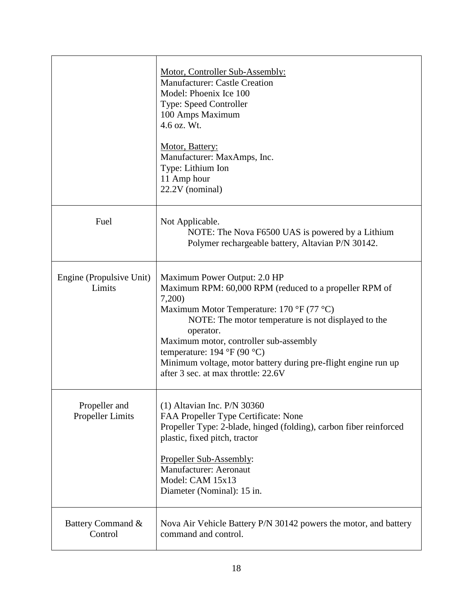|                                          | Motor, Controller Sub-Assembly:<br><b>Manufacturer: Castle Creation</b><br>Model: Phoenix Ice 100<br><b>Type: Speed Controller</b><br>100 Amps Maximum<br>4.6 oz. Wt.<br>Motor, Battery:<br>Manufacturer: MaxAmps, Inc.<br>Type: Lithium Ion<br>11 Amp hour<br>22.2V (nominal)                                                                                                                                                                                   |
|------------------------------------------|------------------------------------------------------------------------------------------------------------------------------------------------------------------------------------------------------------------------------------------------------------------------------------------------------------------------------------------------------------------------------------------------------------------------------------------------------------------|
| Fuel                                     | Not Applicable.<br>NOTE: The Nova F6500 UAS is powered by a Lithium<br>Polymer rechargeable battery, Altavian P/N 30142.                                                                                                                                                                                                                                                                                                                                         |
| Engine (Propulsive Unit)<br>Limits       | Maximum Power Output: 2.0 HP<br>Maximum RPM: 60,000 RPM (reduced to a propeller RPM of<br>7,200<br>Maximum Motor Temperature: $170 \text{ }^{\circ}F(77 \text{ }^{\circ}C)$<br>NOTE: The motor temperature is not displayed to the<br>operator.<br>Maximum motor, controller sub-assembly<br>temperature: $194 \text{ }^{\circ}F(90 \text{ }^{\circ}C)$<br>Minimum voltage, motor battery during pre-flight engine run up<br>after 3 sec. at max throttle: 22.6V |
| Propeller and<br><b>Propeller Limits</b> | $(1)$ Altavian Inc. P/N 30360<br>FAA Propeller Type Certificate: None<br>Propeller Type: 2-blade, hinged (folding), carbon fiber reinforced<br>plastic, fixed pitch, tractor<br>Propeller Sub-Assembly:<br>Manufacturer: Aeronaut<br>Model: CAM 15x13<br>Diameter (Nominal): 15 in.                                                                                                                                                                              |
| Battery Command &<br>Control             | Nova Air Vehicle Battery P/N 30142 powers the motor, and battery<br>command and control.                                                                                                                                                                                                                                                                                                                                                                         |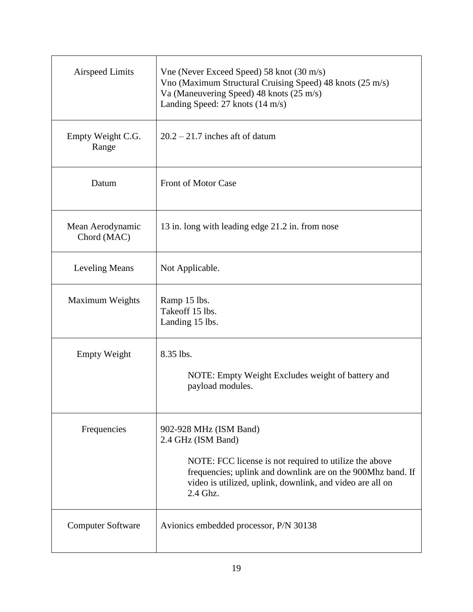| <b>Airspeed Limits</b>          | Vne (Never Exceed Speed) 58 knot (30 m/s)<br>Vno (Maximum Structural Cruising Speed) 48 knots (25 m/s)<br>Va (Maneuvering Speed) 48 knots (25 m/s)<br>Landing Speed: 27 knots (14 m/s)                                                         |
|---------------------------------|------------------------------------------------------------------------------------------------------------------------------------------------------------------------------------------------------------------------------------------------|
| Empty Weight C.G.<br>Range      | $20.2 - 21.7$ inches aft of datum                                                                                                                                                                                                              |
| Datum                           | <b>Front of Motor Case</b>                                                                                                                                                                                                                     |
| Mean Aerodynamic<br>Chord (MAC) | 13 in. long with leading edge 21.2 in. from nose                                                                                                                                                                                               |
| <b>Leveling Means</b>           | Not Applicable.                                                                                                                                                                                                                                |
| <b>Maximum Weights</b>          | Ramp 15 lbs.<br>Takeoff 15 lbs.<br>Landing 15 lbs.                                                                                                                                                                                             |
| <b>Empty Weight</b>             | 8.35 lbs.<br>NOTE: Empty Weight Excludes weight of battery and<br>payload modules.                                                                                                                                                             |
| Frequencies                     | 902-928 MHz (ISM Band)<br>2.4 GHz (ISM Band)<br>NOTE: FCC license is not required to utilize the above<br>frequencies; uplink and downlink are on the 900Mhz band. If<br>video is utilized, uplink, downlink, and video are all on<br>2.4 Ghz. |
| <b>Computer Software</b>        | Avionics embedded processor, P/N 30138                                                                                                                                                                                                         |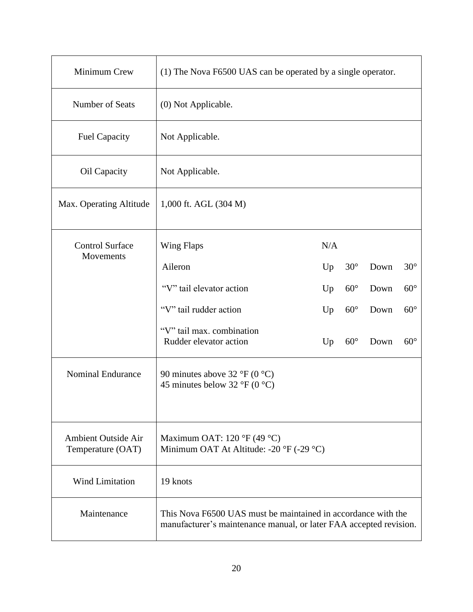| Minimum Crew                                    | (1) The Nova F6500 UAS can be operated by a single operator.                                                                        |     |              |      |            |  |  |
|-------------------------------------------------|-------------------------------------------------------------------------------------------------------------------------------------|-----|--------------|------|------------|--|--|
| Number of Seats                                 | (0) Not Applicable.                                                                                                                 |     |              |      |            |  |  |
| <b>Fuel Capacity</b>                            | Not Applicable.                                                                                                                     |     |              |      |            |  |  |
| Oil Capacity                                    | Not Applicable.                                                                                                                     |     |              |      |            |  |  |
| Max. Operating Altitude                         | 1,000 ft. AGL (304 M)                                                                                                               |     |              |      |            |  |  |
| <b>Control Surface</b><br>Movements             | Wing Flaps                                                                                                                          | N/A |              |      |            |  |  |
|                                                 | Aileron                                                                                                                             | Up  | $30^\circ$   | Down | $30^\circ$ |  |  |
|                                                 | "V" tail elevator action                                                                                                            | Up  | $60^{\circ}$ | Down | $60^\circ$ |  |  |
|                                                 | "V" tail rudder action                                                                                                              | Up  | $60^{\circ}$ | Down | $60^\circ$ |  |  |
|                                                 | "V" tail max. combination<br>Rudder elevator action                                                                                 | Up  | $60^{\circ}$ | Down | $60^\circ$ |  |  |
| <b>Nominal Endurance</b>                        | 90 minutes above $32 \text{ }^{\circ}F(0 \text{ }^{\circ}C)$<br>45 minutes below 32 °F (0 °C)                                       |     |              |      |            |  |  |
| <b>Ambient Outside Air</b><br>Temperature (OAT) | Maximum OAT: 120 °F (49 °C)<br>Minimum OAT At Altitude: -20 °F (-29 °C)                                                             |     |              |      |            |  |  |
| <b>Wind Limitation</b>                          | 19 knots                                                                                                                            |     |              |      |            |  |  |
| Maintenance                                     | This Nova F6500 UAS must be maintained in accordance with the<br>manufacturer's maintenance manual, or later FAA accepted revision. |     |              |      |            |  |  |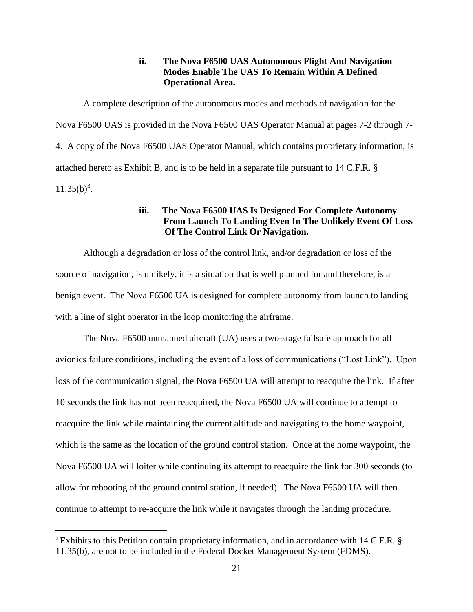### **ii. The Nova F6500 UAS Autonomous Flight And Navigation Modes Enable The UAS To Remain Within A Defined Operational Area.**

A complete description of the autonomous modes and methods of navigation for the Nova F6500 UAS is provided in the Nova F6500 UAS Operator Manual at pages 7-2 through 7- 4. A copy of the Nova F6500 UAS Operator Manual, which contains proprietary information, is attached hereto as Exhibit B, and is to be held in a separate file pursuant to 14 C.F.R. §  $11.35(b)^3$ .

#### **iii. The Nova F6500 UAS Is Designed For Complete Autonomy From Launch To Landing Even In The Unlikely Event Of Loss Of The Control Link Or Navigation.**

Although a degradation or loss of the control link, and/or degradation or loss of the source of navigation, is unlikely, it is a situation that is well planned for and therefore, is a benign event. The Nova F6500 UA is designed for complete autonomy from launch to landing with a line of sight operator in the loop monitoring the airframe.

The Nova F6500 unmanned aircraft (UA) uses a two-stage failsafe approach for all avionics failure conditions, including the event of a loss of communications ("Lost Link"). Upon loss of the communication signal, the Nova F6500 UA will attempt to reacquire the link. If after 10 seconds the link has not been reacquired, the Nova F6500 UA will continue to attempt to reacquire the link while maintaining the current altitude and navigating to the home waypoint, which is the same as the location of the ground control station. Once at the home waypoint, the Nova F6500 UA will loiter while continuing its attempt to reacquire the link for 300 seconds (to allow for rebooting of the ground control station, if needed). The Nova F6500 UA will then continue to attempt to re-acquire the link while it navigates through the landing procedure.

 $\overline{a}$ 

<sup>&</sup>lt;sup>3</sup> Exhibits to this Petition contain proprietary information, and in accordance with 14 C.F.R. § 11.35(b), are not to be included in the Federal Docket Management System (FDMS).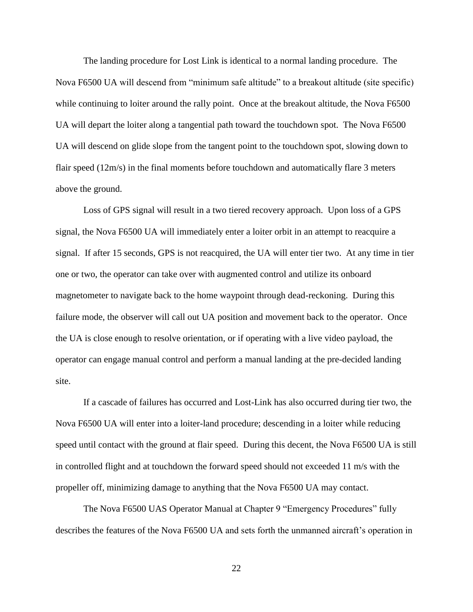The landing procedure for Lost Link is identical to a normal landing procedure. The Nova F6500 UA will descend from "minimum safe altitude" to a breakout altitude (site specific) while continuing to loiter around the rally point. Once at the breakout altitude, the Nova F6500 UA will depart the loiter along a tangential path toward the touchdown spot. The Nova F6500 UA will descend on glide slope from the tangent point to the touchdown spot, slowing down to flair speed (12m/s) in the final moments before touchdown and automatically flare 3 meters above the ground.

Loss of GPS signal will result in a two tiered recovery approach. Upon loss of a GPS signal, the Nova F6500 UA will immediately enter a loiter orbit in an attempt to reacquire a signal. If after 15 seconds, GPS is not reacquired, the UA will enter tier two. At any time in tier one or two, the operator can take over with augmented control and utilize its onboard magnetometer to navigate back to the home waypoint through dead-reckoning. During this failure mode, the observer will call out UA position and movement back to the operator. Once the UA is close enough to resolve orientation, or if operating with a live video payload, the operator can engage manual control and perform a manual landing at the pre-decided landing site.

If a cascade of failures has occurred and Lost-Link has also occurred during tier two, the Nova F6500 UA will enter into a loiter-land procedure; descending in a loiter while reducing speed until contact with the ground at flair speed. During this decent, the Nova F6500 UA is still in controlled flight and at touchdown the forward speed should not exceeded 11 m/s with the propeller off, minimizing damage to anything that the Nova F6500 UA may contact.

The Nova F6500 UAS Operator Manual at Chapter 9 "Emergency Procedures" fully describes the features of the Nova F6500 UA and sets forth the unmanned aircraft's operation in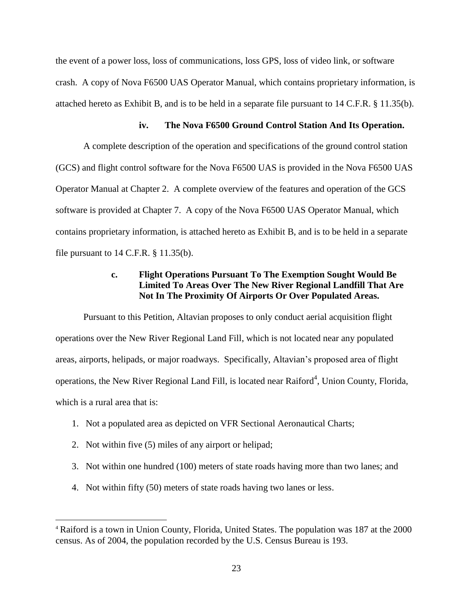the event of a power loss, loss of communications, loss GPS, loss of video link, or software crash. A copy of Nova F6500 UAS Operator Manual, which contains proprietary information, is attached hereto as Exhibit B, and is to be held in a separate file pursuant to 14 C.F.R. § 11.35(b).

### **iv. The Nova F6500 Ground Control Station And Its Operation.**

A complete description of the operation and specifications of the ground control station (GCS) and flight control software for the Nova F6500 UAS is provided in the Nova F6500 UAS Operator Manual at Chapter 2. A complete overview of the features and operation of the GCS software is provided at Chapter 7. A copy of the Nova F6500 UAS Operator Manual, which contains proprietary information, is attached hereto as Exhibit B, and is to be held in a separate file pursuant to  $14$  C.F.R.  $\S$  11.35(b).

## **c. Flight Operations Pursuant To The Exemption Sought Would Be Limited To Areas Over The New River Regional Landfill That Are Not In The Proximity Of Airports Or Over Populated Areas.**

Pursuant to this Petition, Altavian proposes to only conduct aerial acquisition flight operations over the New River Regional Land Fill, which is not located near any populated areas, airports, helipads, or major roadways. Specifically, Altavian's proposed area of flight operations, the New River Regional Land Fill, is located near Raiford<sup>4</sup>, Union County, Florida, which is a rural area that is:

- 1. Not a populated area as depicted on VFR Sectional Aeronautical Charts;
- 2. Not within five (5) miles of any airport or helipad;

 $\overline{a}$ 

- 3. Not within one hundred (100) meters of state roads having more than two lanes; and
- 4. Not within fifty (50) meters of state roads having two lanes or less.

<sup>4</sup> Raiford is a town in [Union County,](http://en.wikipedia.org/wiki/Union_County,_Florida) [Florida,](http://en.wikipedia.org/wiki/Florida) [United States.](http://en.wikipedia.org/wiki/United_States) The population was 187 at the 2000 census. As of 2004, the population recorded by the [U.S. Census Bureau](http://en.wikipedia.org/wiki/U.S._Census_Bureau) is 193.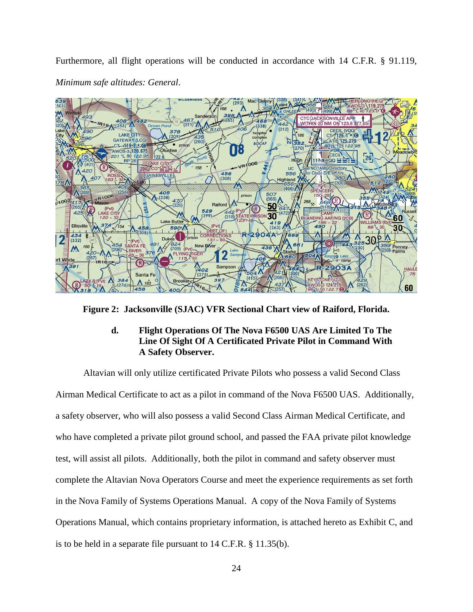Furthermore, all flight operations will be conducted in accordance with 14 C.F.R. § 91.119, *Minimum safe altitudes: General*.



**Figure 2: Jacksonville (SJAC) VFR Sectional Chart view of Raiford, Florida.**

### **d. Flight Operations Of The Nova F6500 UAS Are Limited To The Line Of Sight Of A Certificated Private Pilot in Command With A Safety Observer.**

Altavian will only utilize certificated Private Pilots who possess a valid Second Class Airman Medical Certificate to act as a pilot in command of the Nova F6500 UAS. Additionally, a safety observer, who will also possess a valid Second Class Airman Medical Certificate, and who have completed a private pilot ground school, and passed the FAA private pilot knowledge test, will assist all pilots. Additionally, both the pilot in command and safety observer must complete the Altavian Nova Operators Course and meet the experience requirements as set forth in the Nova Family of Systems Operations Manual. A copy of the Nova Family of Systems Operations Manual, which contains proprietary information, is attached hereto as Exhibit C, and is to be held in a separate file pursuant to 14 C.F.R. § 11.35(b).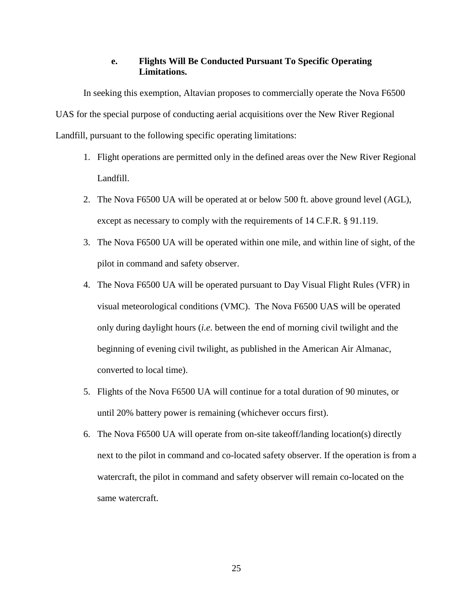#### **e. Flights Will Be Conducted Pursuant To Specific Operating Limitations.**

In seeking this exemption, Altavian proposes to commercially operate the Nova F6500 UAS for the special purpose of conducting aerial acquisitions over the New River Regional Landfill, pursuant to the following specific operating limitations:

- 1. Flight operations are permitted only in the defined areas over the New River Regional Landfill.
- 2. The Nova F6500 UA will be operated at or below 500 ft. above ground level (AGL), except as necessary to comply with the requirements of 14 C.F.R. § 91.119.
- 3. The Nova F6500 UA will be operated within one mile, and within line of sight, of the pilot in command and safety observer.
- 4. The Nova F6500 UA will be operated pursuant to Day Visual Flight Rules (VFR) in visual meteorological conditions (VMC). The Nova F6500 UAS will be operated only during daylight hours (*i.e.* between the end of morning civil twilight and the beginning of evening civil twilight, as published in the American Air Almanac, converted to local time).
- 5. Flights of the Nova F6500 UA will continue for a total duration of 90 minutes, or until 20% battery power is remaining (whichever occurs first).
- 6. The Nova F6500 UA will operate from on-site takeoff/landing location(s) directly next to the pilot in command and co-located safety observer. If the operation is from a watercraft, the pilot in command and safety observer will remain co-located on the same watercraft.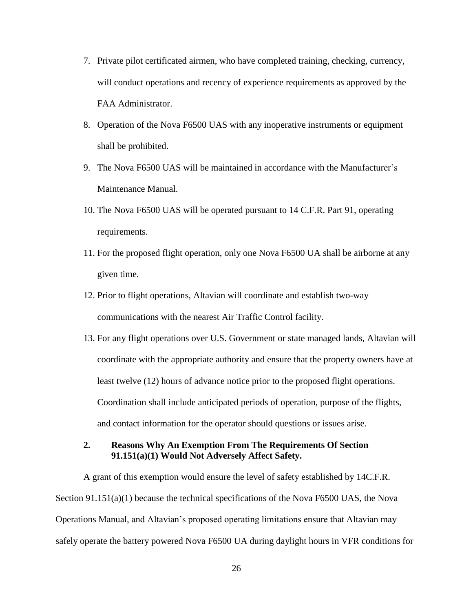- 7. Private pilot certificated airmen, who have completed training, checking, currency, will conduct operations and recency of experience requirements as approved by the FAA Administrator.
- 8. Operation of the Nova F6500 UAS with any inoperative instruments or equipment shall be prohibited.
- 9. The Nova F6500 UAS will be maintained in accordance with the Manufacturer's Maintenance Manual.
- 10. The Nova F6500 UAS will be operated pursuant to 14 C.F.R. Part 91, operating requirements.
- 11. For the proposed flight operation, only one Nova F6500 UA shall be airborne at any given time.
- 12. Prior to flight operations, Altavian will coordinate and establish two-way communications with the nearest Air Traffic Control facility.
- 13. For any flight operations over U.S. Government or state managed lands, Altavian will coordinate with the appropriate authority and ensure that the property owners have at least twelve (12) hours of advance notice prior to the proposed flight operations. Coordination shall include anticipated periods of operation, purpose of the flights, and contact information for the operator should questions or issues arise.
- **2. Reasons Why An Exemption From The Requirements Of Section 91.151(a)(1) Would Not Adversely Affect Safety.**

A grant of this exemption would ensure the level of safety established by 14C.F.R. Section 91.151(a)(1) because the technical specifications of the Nova F6500 UAS, the Nova Operations Manual, and Altavian's proposed operating limitations ensure that Altavian may safely operate the battery powered Nova F6500 UA during daylight hours in VFR conditions for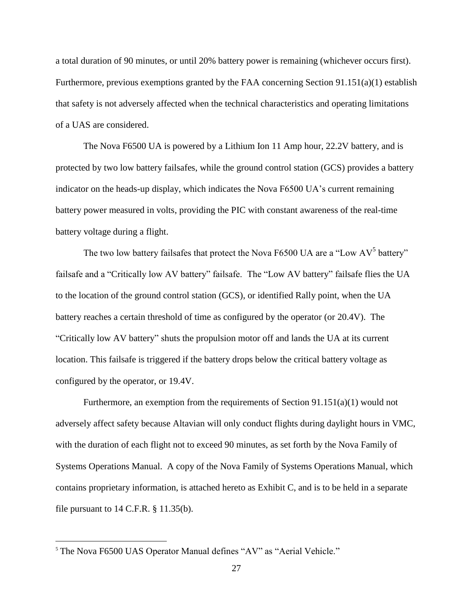a total duration of 90 minutes, or until 20% battery power is remaining (whichever occurs first). Furthermore, previous exemptions granted by the FAA concerning Section 91.151(a)(1) establish that safety is not adversely affected when the technical characteristics and operating limitations of a UAS are considered.

The Nova F6500 UA is powered by a Lithium Ion 11 Amp hour, 22.2V battery, and is protected by two low battery failsafes, while the ground control station (GCS) provides a battery indicator on the heads-up display, which indicates the Nova F6500 UA's current remaining battery power measured in volts, providing the PIC with constant awareness of the real-time battery voltage during a flight.

The two low battery failsafes that protect the Nova F6500 UA are a "Low AV<sup>5</sup> battery" failsafe and a "Critically low AV battery" failsafe. The "Low AV battery" failsafe flies the UA to the location of the ground control station (GCS), or identified Rally point, when the UA battery reaches a certain threshold of time as configured by the operator (or 20.4V). The "Critically low AV battery" shuts the propulsion motor off and lands the UA at its current location. This failsafe is triggered if the battery drops below the critical battery voltage as configured by the operator, or 19.4V.

Furthermore, an exemption from the requirements of Section 91.151(a)(1) would not adversely affect safety because Altavian will only conduct flights during daylight hours in VMC, with the duration of each flight not to exceed 90 minutes, as set forth by the Nova Family of Systems Operations Manual. A copy of the Nova Family of Systems Operations Manual, which contains proprietary information, is attached hereto as Exhibit C, and is to be held in a separate file pursuant to  $14$  C.F.R.  $\S$  11.35(b).

 $\overline{a}$ 

<sup>5</sup> The Nova F6500 UAS Operator Manual defines "AV" as "Aerial Vehicle."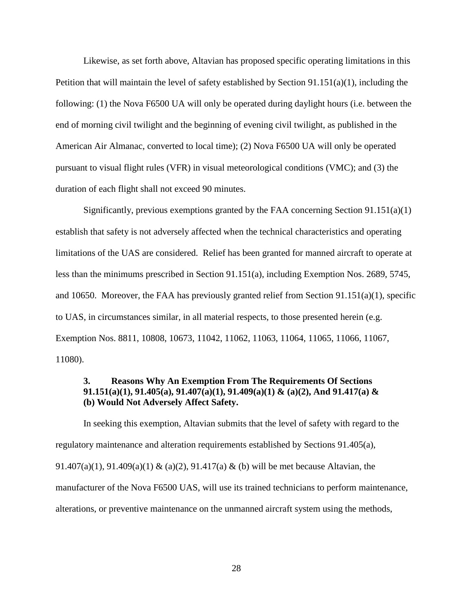Likewise, as set forth above, Altavian has proposed specific operating limitations in this Petition that will maintain the level of safety established by Section  $91.151(a)(1)$ , including the following: (1) the Nova F6500 UA will only be operated during daylight hours (i.e. between the end of morning civil twilight and the beginning of evening civil twilight, as published in the American Air Almanac, converted to local time); (2) Nova F6500 UA will only be operated pursuant to visual flight rules (VFR) in visual meteorological conditions (VMC); and (3) the duration of each flight shall not exceed 90 minutes.

Significantly, previous exemptions granted by the FAA concerning Section 91.151(a)(1) establish that safety is not adversely affected when the technical characteristics and operating limitations of the UAS are considered. Relief has been granted for manned aircraft to operate at less than the minimums prescribed in Section 91.151(a), including Exemption Nos. 2689, 5745, and 10650. Moreover, the FAA has previously granted relief from Section 91.151(a)(1), specific to UAS, in circumstances similar, in all material respects, to those presented herein (e.g. Exemption Nos. 8811, 10808, 10673, 11042, 11062, 11063, 11064, 11065, 11066, 11067, 11080).

### **3. Reasons Why An Exemption From The Requirements Of Sections 91.151(a)(1), 91.405(a), 91.407(a)(1), 91.409(a)(1) & (a)(2), And 91.417(a) & (b) Would Not Adversely Affect Safety.**

In seeking this exemption, Altavian submits that the level of safety with regard to the regulatory maintenance and alteration requirements established by Sections 91.405(a), 91.407(a)(1), 91.409(a)(1) & (a)(2), 91.417(a) & (b) will be met because Altavian, the manufacturer of the Nova F6500 UAS, will use its trained technicians to perform maintenance, alterations, or preventive maintenance on the unmanned aircraft system using the methods,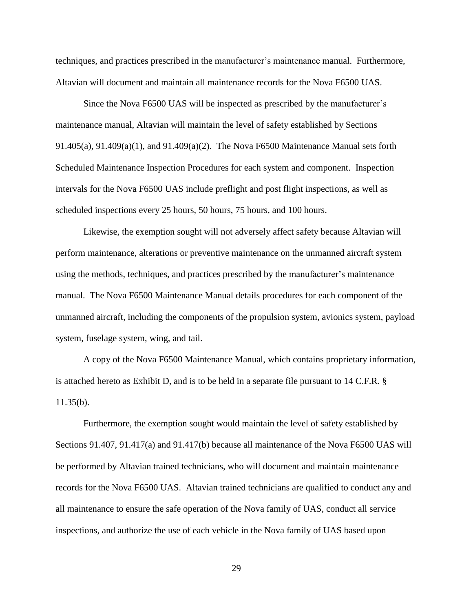techniques, and practices prescribed in the manufacturer's maintenance manual. Furthermore, Altavian will document and maintain all maintenance records for the Nova F6500 UAS.

Since the Nova F6500 UAS will be inspected as prescribed by the manufacturer's maintenance manual, Altavian will maintain the level of safety established by Sections 91.405(a), 91.409(a)(1), and 91.409(a)(2). The Nova F6500 Maintenance Manual sets forth Scheduled Maintenance Inspection Procedures for each system and component. Inspection intervals for the Nova F6500 UAS include preflight and post flight inspections, as well as scheduled inspections every 25 hours, 50 hours, 75 hours, and 100 hours.

Likewise, the exemption sought will not adversely affect safety because Altavian will perform maintenance, alterations or preventive maintenance on the unmanned aircraft system using the methods, techniques, and practices prescribed by the manufacturer's maintenance manual. The Nova F6500 Maintenance Manual details procedures for each component of the unmanned aircraft, including the components of the propulsion system, avionics system, payload system, fuselage system, wing, and tail.

A copy of the Nova F6500 Maintenance Manual, which contains proprietary information, is attached hereto as Exhibit D, and is to be held in a separate file pursuant to 14 C.F.R. §  $11.35(b)$ .

Furthermore, the exemption sought would maintain the level of safety established by Sections 91.407, 91.417(a) and 91.417(b) because all maintenance of the Nova F6500 UAS will be performed by Altavian trained technicians, who will document and maintain maintenance records for the Nova F6500 UAS. Altavian trained technicians are qualified to conduct any and all maintenance to ensure the safe operation of the Nova family of UAS, conduct all service inspections, and authorize the use of each vehicle in the Nova family of UAS based upon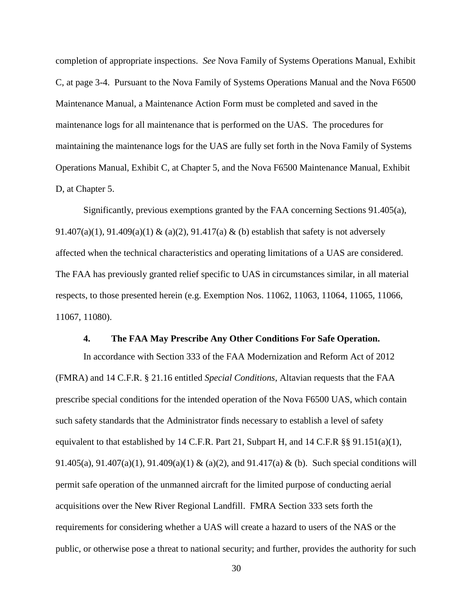completion of appropriate inspections. *See* Nova Family of Systems Operations Manual, Exhibit C, at page 3-4. Pursuant to the Nova Family of Systems Operations Manual and the Nova F6500 Maintenance Manual, a Maintenance Action Form must be completed and saved in the maintenance logs for all maintenance that is performed on the UAS. The procedures for maintaining the maintenance logs for the UAS are fully set forth in the Nova Family of Systems Operations Manual, Exhibit C, at Chapter 5, and the Nova F6500 Maintenance Manual, Exhibit D, at Chapter 5.

Significantly, previous exemptions granted by the FAA concerning Sections 91.405(a), 91.407(a)(1), 91.409(a)(1) & (a)(2), 91.417(a) & (b) establish that safety is not adversely affected when the technical characteristics and operating limitations of a UAS are considered. The FAA has previously granted relief specific to UAS in circumstances similar, in all material respects, to those presented herein (e.g. Exemption Nos. 11062, 11063, 11064, 11065, 11066, 11067, 11080).

#### **4. The FAA May Prescribe Any Other Conditions For Safe Operation.**

In accordance with Section 333 of the FAA Modernization and Reform Act of 2012 (FMRA) and 14 C.F.R. § 21.16 entitled *Special Conditions*, Altavian requests that the FAA prescribe special conditions for the intended operation of the Nova F6500 UAS, which contain such safety standards that the Administrator finds necessary to establish a level of safety equivalent to that established by 14 C.F.R. Part 21, Subpart H, and 14 C.F.R §§ 91.151(a)(1), 91.405(a), 91.407(a)(1), 91.409(a)(1) & (a)(2), and 91.417(a) & (b). Such special conditions will permit safe operation of the unmanned aircraft for the limited purpose of conducting aerial acquisitions over the New River Regional Landfill. FMRA Section 333 sets forth the requirements for considering whether a UAS will create a hazard to users of the NAS or the public, or otherwise pose a threat to national security; and further, provides the authority for such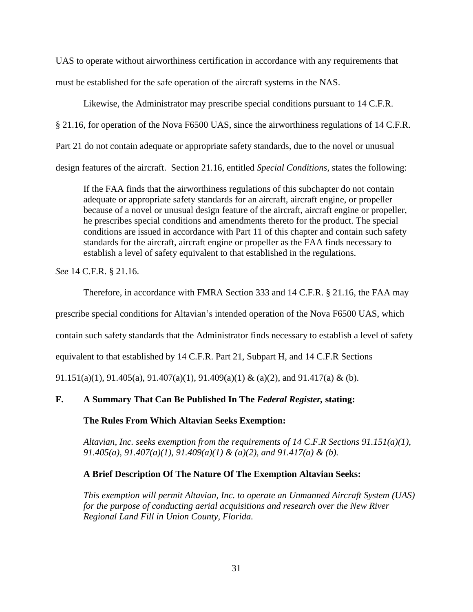UAS to operate without airworthiness certification in accordance with any requirements that must be established for the safe operation of the aircraft systems in the NAS.

Likewise, the Administrator may prescribe special conditions pursuant to 14 C.F.R.

§ 21.16, for operation of the Nova F6500 UAS, since the airworthiness regulations of 14 C.F.R.

Part 21 do not contain adequate or appropriate safety standards, due to the novel or unusual

design features of the aircraft. Section 21.16, entitled *Special Conditions*, states the following:

If the FAA finds that the airworthiness regulations of this subchapter do not contain adequate or appropriate safety standards for an aircraft, aircraft engine, or propeller because of a novel or unusual design feature of the aircraft, aircraft engine or propeller, he prescribes special conditions and amendments thereto for the product. The special conditions are issued in accordance with Part 11 of this chapter and contain such safety standards for the aircraft, aircraft engine or propeller as the FAA finds necessary to establish a level of safety equivalent to that established in the regulations.

*See* 14 C.F.R. § 21.16.

Therefore, in accordance with FMRA Section 333 and 14 C.F.R. § 21.16, the FAA may

prescribe special conditions for Altavian's intended operation of the Nova F6500 UAS, which

contain such safety standards that the Administrator finds necessary to establish a level of safety

equivalent to that established by 14 C.F.R. Part 21, Subpart H, and 14 C.F.R Sections

91.151(a)(1), 91.405(a), 91.407(a)(1), 91.409(a)(1) & (a)(2), and 91.417(a) & (b).

# **F. A Summary That Can Be Published In The** *Federal Register,* **stating:**

**The Rules From Which Altavian Seeks Exemption:**

*Altavian, Inc. seeks exemption from the requirements of 14 C.F.R Sections 91.151(a)(1), 91.405(a), 91.407(a)(1), 91.409(a)(1) & (a)(2), and 91.417(a) & (b).*

## **A Brief Description Of The Nature Of The Exemption Altavian Seeks:**

*This exemption will permit Altavian, Inc. to operate an Unmanned Aircraft System (UAS) for the purpose of conducting aerial acquisitions and research over the New River Regional Land Fill in Union County, Florida.*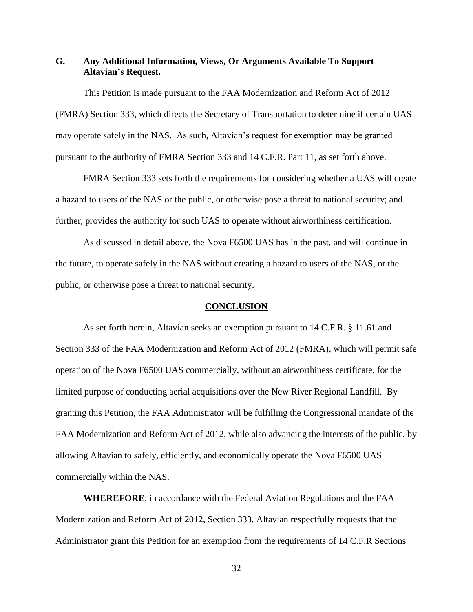### **G. Any Additional Information, Views, Or Arguments Available To Support Altavian's Request.**

This Petition is made pursuant to the FAA Modernization and Reform Act of 2012 (FMRA) Section 333, which directs the Secretary of Transportation to determine if certain UAS may operate safely in the NAS. As such, Altavian's request for exemption may be granted pursuant to the authority of FMRA Section 333 and 14 C.F.R. Part 11, as set forth above.

FMRA Section 333 sets forth the requirements for considering whether a UAS will create a hazard to users of the NAS or the public, or otherwise pose a threat to national security; and further, provides the authority for such UAS to operate without airworthiness certification.

As discussed in detail above, the Nova F6500 UAS has in the past, and will continue in the future, to operate safely in the NAS without creating a hazard to users of the NAS, or the public, or otherwise pose a threat to national security.

#### **CONCLUSION**

As set forth herein, Altavian seeks an exemption pursuant to 14 C.F.R. § 11.61 and Section 333 of the FAA Modernization and Reform Act of 2012 (FMRA), which will permit safe operation of the Nova F6500 UAS commercially, without an airworthiness certificate, for the limited purpose of conducting aerial acquisitions over the New River Regional Landfill. By granting this Petition, the FAA Administrator will be fulfilling the Congressional mandate of the FAA Modernization and Reform Act of 2012, while also advancing the interests of the public, by allowing Altavian to safely, efficiently, and economically operate the Nova F6500 UAS commercially within the NAS.

**WHEREFORE**, in accordance with the Federal Aviation Regulations and the FAA Modernization and Reform Act of 2012, Section 333, Altavian respectfully requests that the Administrator grant this Petition for an exemption from the requirements of 14 C.F.R Sections